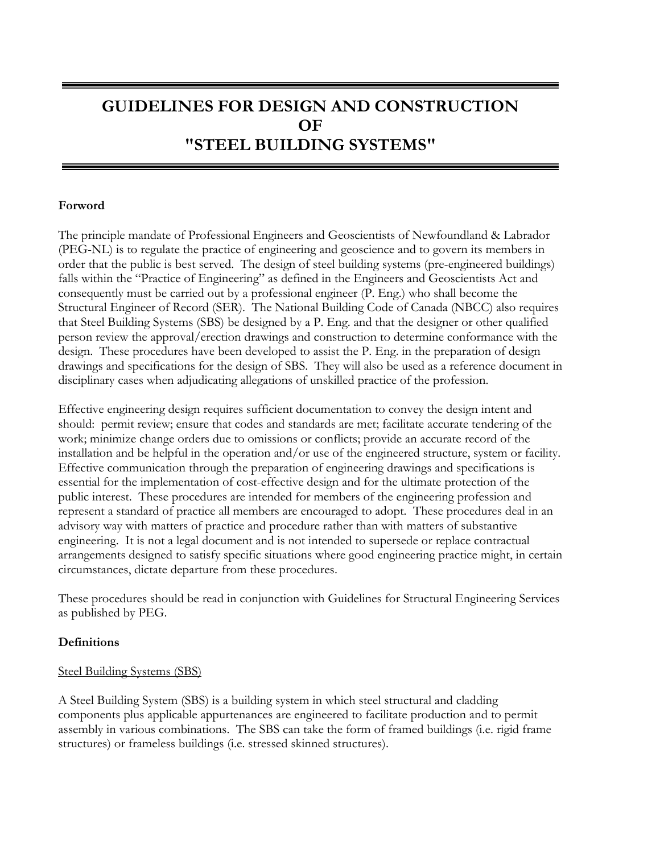# **GUIDELINES FOR DESIGN AND CONSTRUCTION OF "STEEL BUILDING SYSTEMS"**

#### **Forword**

The principle mandate of Professional Engineers and Geoscientists of Newfoundland & Labrador (PEG-NL) is to regulate the practice of engineering and geoscience and to govern its members in order that the public is best served. The design of steel building systems (pre-engineered buildings) falls within the "Practice of Engineering" as defined in the Engineers and Geoscientists Act and consequently must be carried out by a professional engineer (P. Eng.) who shall become the Structural Engineer of Record (SER). The National Building Code of Canada (NBCC) also requires that Steel Building Systems (SBS) be designed by a P. Eng. and that the designer or other qualified person review the approval/erection drawings and construction to determine conformance with the design. These procedures have been developed to assist the P. Eng. in the preparation of design drawings and specifications for the design of SBS. They will also be used as a reference document in disciplinary cases when adjudicating allegations of unskilled practice of the profession.

Effective engineering design requires sufficient documentation to convey the design intent and should: permit review; ensure that codes and standards are met; facilitate accurate tendering of the work; minimize change orders due to omissions or conflicts; provide an accurate record of the installation and be helpful in the operation and/or use of the engineered structure, system or facility. Effective communication through the preparation of engineering drawings and specifications is essential for the implementation of cost-effective design and for the ultimate protection of the public interest. These procedures are intended for members of the engineering profession and represent a standard of practice all members are encouraged to adopt. These procedures deal in an advisory way with matters of practice and procedure rather than with matters of substantive engineering. It is not a legal document and is not intended to supersede or replace contractual arrangements designed to satisfy specific situations where good engineering practice might, in certain circumstances, dictate departure from these procedures.

These procedures should be read in conjunction with Guidelines for Structural Engineering Services as published by PEG.

#### **Definitions**

#### Steel Building Systems (SBS)

A Steel Building System (SBS) is a building system in which steel structural and cladding components plus applicable appurtenances are engineered to facilitate production and to permit assembly in various combinations. The SBS can take the form of framed buildings (i.e. rigid frame structures) or frameless buildings (i.e. stressed skinned structures).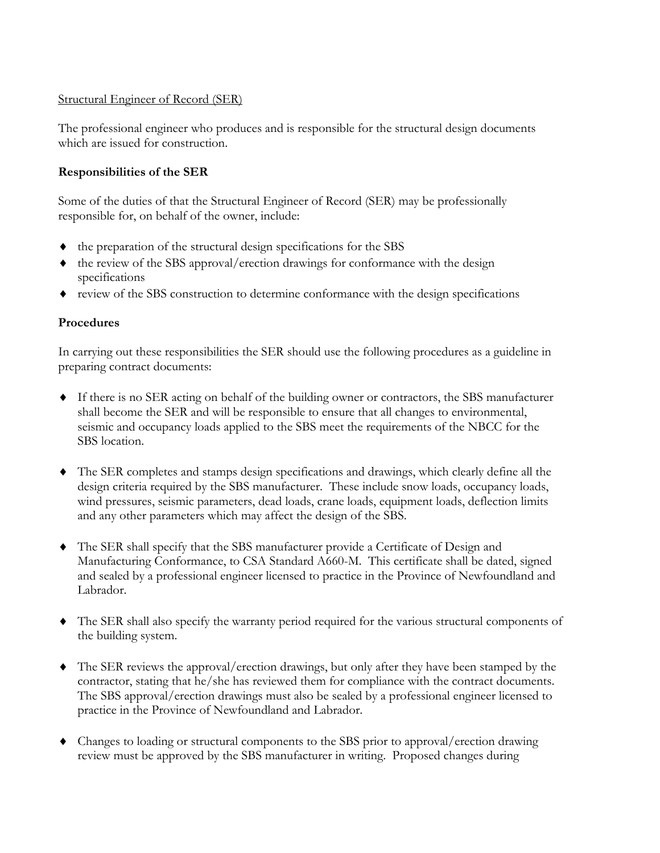#### Structural Engineer of Record (SER)

The professional engineer who produces and is responsible for the structural design documents which are issued for construction.

## **Responsibilities of the SER**

Some of the duties of that the Structural Engineer of Record (SER) may be professionally responsible for, on behalf of the owner, include:

- ♦ the preparation of the structural design specifications for the SBS
- ♦ the review of the SBS approval/erection drawings for conformance with the design specifications
- ♦ review of the SBS construction to determine conformance with the design specifications

### **Procedures**

In carrying out these responsibilities the SER should use the following procedures as a guideline in preparing contract documents:

- ♦ If there is no SER acting on behalf of the building owner or contractors, the SBS manufacturer shall become the SER and will be responsible to ensure that all changes to environmental, seismic and occupancy loads applied to the SBS meet the requirements of the NBCC for the SBS location.
- ♦ The SER completes and stamps design specifications and drawings, which clearly define all the design criteria required by the SBS manufacturer. These include snow loads, occupancy loads, wind pressures, seismic parameters, dead loads, crane loads, equipment loads, deflection limits and any other parameters which may affect the design of the SBS.
- ♦ The SER shall specify that the SBS manufacturer provide a Certificate of Design and Manufacturing Conformance, to CSA Standard A660-M. This certificate shall be dated, signed and sealed by a professional engineer licensed to practice in the Province of Newfoundland and Labrador.
- ♦ The SER shall also specify the warranty period required for the various structural components of the building system.
- ♦ The SER reviews the approval/erection drawings, but only after they have been stamped by the contractor, stating that he/she has reviewed them for compliance with the contract documents. The SBS approval/erection drawings must also be sealed by a professional engineer licensed to practice in the Province of Newfoundland and Labrador.
- ♦ Changes to loading or structural components to the SBS prior to approval/erection drawing review must be approved by the SBS manufacturer in writing. Proposed changes during